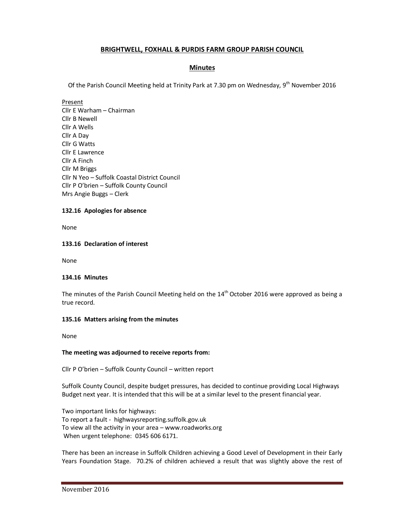# **BRIGHTWELL, FOXHALL & PURDIS FARM GROUP PARISH COUNCIL**

## **Minutes**

Of the Parish Council Meeting held at Trinity Park at 7.30 pm on Wednesday,  $9^{th}$  November 2016

Present

Cllr E Warham – Chairman Cllr B Newell Cllr A Wells Cllr A Day Cllr G Watts Cllr E Lawrence Cllr A Finch Cllr M Briggs Cllr N Yeo – Suffolk Coastal District Council Cllr P O'brien – Suffolk County Council Mrs Angie Buggs – Clerk

### **132.16 Apologies for absence**

None

## **133.16 Declaration of interest**

None

### **134.16 Minutes**

The minutes of the Parish Council Meeting held on the  $14<sup>th</sup>$  October 2016 were approved as being a true record.

### **135.16 Matters arising from the minutes**

None

### **The meeting was adjourned to receive reports from:**

Cllr P O'brien – Suffolk County Council – written report

Suffolk County Council, despite budget pressures, has decided to continue providing Local Highways Budget next year. It is intended that this will be at a similar level to the present financial year.

Two important links for highways: To report a fault - highwaysreporting.suffolk.gov.uk To view all the activity in your area – www.roadworks.org When urgent telephone: 0345 606 6171.

There has been an increase in Suffolk Children achieving a Good Level of Development in their Early Years Foundation Stage. 70.2% of children achieved a result that was slightly above the rest of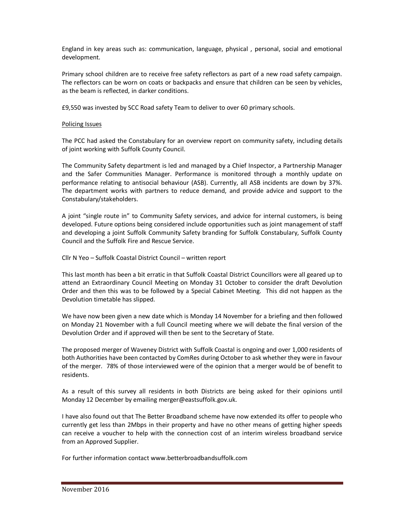England in key areas such as: communication, language, physical , personal, social and emotional development.

Primary school children are to receive free safety reflectors as part of a new road safety campaign. The reflectors can be worn on coats or backpacks and ensure that children can be seen by vehicles, as the beam is reflected, in darker conditions.

£9,550 was invested by SCC Road safety Team to deliver to over 60 primary schools.

### Policing Issues

The PCC had asked the Constabulary for an overview report on community safety, including details of joint working with Suffolk County Council.

The Community Safety department is led and managed by a Chief Inspector, a Partnership Manager and the Safer Communities Manager. Performance is monitored through a monthly update on performance relating to antisocial behaviour (ASB). Currently, all ASB incidents are down by 37%. The department works with partners to reduce demand, and provide advice and support to the Constabulary/stakeholders.

A joint "single route in" to Community Safety services, and advice for internal customers, is being developed. Future options being considered include opportunities such as joint management of staff and developing a joint Suffolk Community Safety branding for Suffolk Constabulary, Suffolk County Council and the Suffolk Fire and Rescue Service.

Cllr N Yeo – Suffolk Coastal District Council – written report

This last month has been a bit erratic in that Suffolk Coastal District Councillors were all geared up to attend an Extraordinary Council Meeting on Monday 31 October to consider the draft Devolution Order and then this was to be followed by a Special Cabinet Meeting. This did not happen as the Devolution timetable has slipped.

We have now been given a new date which is Monday 14 November for a briefing and then followed on Monday 21 November with a full Council meeting where we will debate the final version of the Devolution Order and if approved will then be sent to the Secretary of State.

The proposed merger of Waveney District with Suffolk Coastal is ongoing and over 1,000 residents of both Authorities have been contacted by ComRes during October to ask whether they were in favour of the merger. 78% of those interviewed were of the opinion that a merger would be of benefit to residents.

As a result of this survey all residents in both Districts are being asked for their opinions until Monday 12 December by emailing merger@eastsuffolk.gov.uk.

I have also found out that The Better Broadband scheme have now extended its offer to people who currently get less than 2Mbps in their property and have no other means of getting higher speeds can receive a voucher to help with the connection cost of an interim wireless broadband service from an Approved Supplier.

For further information contact www.betterbroadbandsuffolk.com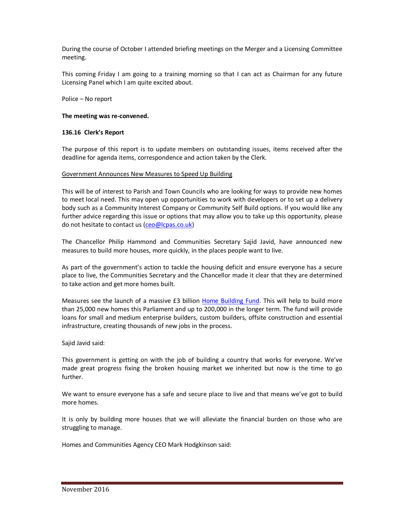During the course of October I attended briefing meetings on the Merger and a Licensing Committee meeting.

This coming Friday I am going to a training morning so that I can act as Chairman for any future Licensing Panel which I am quite excited about.

Police – No report

#### **The meeting was re-convened.**

#### **136.16 Clerk's Report**

The purpose of this report is to update members on outstanding issues, items received after the deadline for agenda items, correspondence and action taken by the Clerk.

#### Government Announces New Measures to Speed Up Building

This will be of interest to Parish and Town Councils who are looking for ways to provide new homes to meet local need. This may open up opportunities to work with developers or to set up a delivery body such as a Community Interest Company or Community Self Build options. If you would like any further advice regarding this issue or options that may allow you to take up this opportunity, please do not hesitate to contact us (ceo@lcpas.co.uk)

The Chancellor Philip Hammond and Communities Secretary Sajid Javid, have announced new measures to build more houses, more quickly, in the places people want to live.

As part of the government's action to tackle the housing deficit and ensure everyone has a secure place to live, the Communities Secretary and the Chancellor made it clear that they are determined to take action and get more homes built.

Measures see the launch of a massive £3 billion Home Building Fund. This will help to build more than 25,000 new homes this Parliament and up to 200,000 in the longer term. The fund will provide loans for small and medium enterprise builders, custom builders, offsite construction and essential infrastructure, creating thousands of new jobs in the process.

Sajid Javid said:

This government is getting on with the job of building a country that works for everyone. We've made great progress fixing the broken housing market we inherited but now is the time to go further.

We want to ensure everyone has a safe and secure place to live and that means we've got to build more homes.

It is only by building more houses that we will alleviate the financial burden on those who are struggling to manage.

Homes and Communities Agency CEO Mark Hodgkinson said: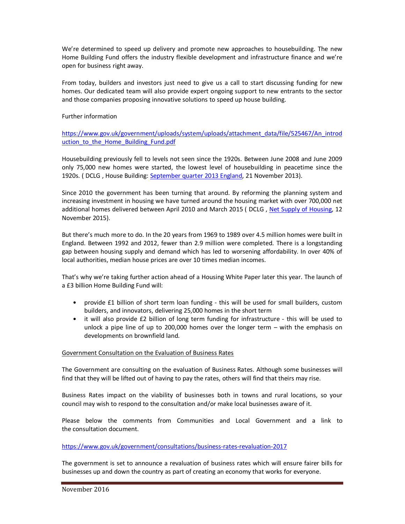We're determined to speed up delivery and promote new approaches to housebuilding. The new Home Building Fund offers the industry flexible development and infrastructure finance and we're open for business right away.

From today, builders and investors just need to give us a call to start discussing funding for new homes. Our dedicated team will also provide expert ongoing support to new entrants to the sector and those companies proposing innovative solutions to speed up house building.

### Further information

https://www.gov.uk/government/uploads/system/uploads/attachment\_data/file/525467/An\_introd uction to the Home Building Fund.pdf

Housebuilding previously fell to levels not seen since the 1920s. Between June 2008 and June 2009 only 75,000 new homes were started, the lowest level of housebuilding in peacetime since the 1920s. ( DCLG , House Building: September quarter 2013 England, 21 November 2013).

Since 2010 the government has been turning that around. By reforming the planning system and increasing investment in housing we have turned around the housing market with over 700,000 net additional homes delivered between April 2010 and March 2015 (DCLG, Net Supply of Housing, 12 November 2015).

But there's much more to do. In the 20 years from 1969 to 1989 over 4.5 million homes were built in England. Between 1992 and 2012, fewer than 2.9 million were completed. There is a longstanding gap between housing supply and demand which has led to worsening affordability. In over 40% of local authorities, median house prices are over 10 times median incomes.

That's why we're taking further action ahead of a Housing White Paper later this year. The launch of a £3 billion Home Building Fund will:

- provide £1 billion of short term loan funding this will be used for small builders, custom builders, and innovators, delivering 25,000 homes in the short term
- it will also provide £2 billion of long term funding for infrastructure this will be used to unlock a pipe line of up to 200,000 homes over the longer term – with the emphasis on developments on brownfield land.

### Government Consultation on the Evaluation of Business Rates

The Government are consulting on the evaluation of Business Rates. Although some businesses will find that they will be lifted out of having to pay the rates, others will find that theirs may rise.

Business Rates impact on the viability of businesses both in towns and rural locations, so your council may wish to respond to the consultation and/or make local businesses aware of it.

Please below the comments from Communities and Local Government and a link to the consultation document.

https://www.gov.uk/government/consultations/business-rates-revaluation-2017

The government is set to announce a revaluation of business rates which will ensure fairer bills for businesses up and down the country as part of creating an economy that works for everyone.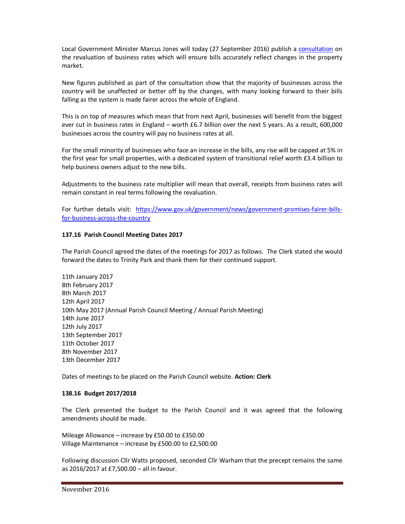Local Government Minister Marcus Jones will today (27 September 2016) publish a consultation on the revaluation of business rates which will ensure bills accurately reflect changes in the property market.

New figures published as part of the consultation show that the majority of businesses across the country will be unaffected or better off by the changes, with many looking forward to their bills falling as the system is made fairer across the whole of England.

This is on top of measures which mean that from next April, businesses will benefit from the biggest ever cut in business rates in England – worth £6.7 billion over the next 5 years. As a result, 600,000 businesses across the country will pay no business rates at all.

For the small minority of businesses who face an increase in the bills, any rise will be capped at 5% in the first year for small properties, with a dedicated system of transitional relief worth £3.4 billion to help business owners adjust to the new bills.

Adjustments to the business rate multiplier will mean that overall, receipts from business rates will remain constant in real terms following the revaluation.

For further details visit: https://www.gov.uk/government/news/government-promises-fairer-billsfor-business-across-the-country

## **137.16 Parish Council Meeting Dates 2017**

The Parish Council agreed the dates of the meetings for 2017 as follows. The Clerk stated she would forward the dates to Trinity Park and thank them for their continued support.

11th January 2017 8th February 2017 8th March 2017 12th April 2017 10th May 2017 (Annual Parish Council Meeting / Annual Parish Meeting) 14th June 2017 12th July 2017 13th September 2017 11th October 2017 8th November 2017 13th December 2017

Dates of meetings to be placed on the Parish Council website. **Action: Clerk** 

### **138.16 Budget 2017/2018**

The Clerk presented the budget to the Parish Council and it was agreed that the following amendments should be made.

Mileage Allowance – increase by £50.00 to £350.00 Village Maintenance – increase by £500.00 to £2,500.00

Following discussion Cllr Watts proposed, seconded Cllr Warham that the precept remains the same as 2016/2017 at £7,500.00 – all in favour.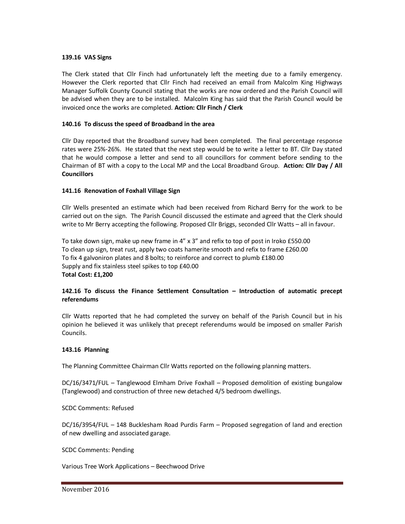#### **139.16 VAS Signs**

The Clerk stated that Cllr Finch had unfortunately left the meeting due to a family emergency. However the Clerk reported that Cllr Finch had received an email from Malcolm King Highways Manager Suffolk County Council stating that the works are now ordered and the Parish Council will be advised when they are to be installed. Malcolm King has said that the Parish Council would be invoiced once the works are completed. **Action: Cllr Finch / Clerk** 

### **140.16 To discuss the speed of Broadband in the area**

Cllr Day reported that the Broadband survey had been completed. The final percentage response rates were 25%-26%. He stated that the next step would be to write a letter to BT. Cllr Day stated that he would compose a letter and send to all councillors for comment before sending to the Chairman of BT with a copy to the Local MP and the Local Broadband Group. **Action: Cllr Day / All Councillors** 

### **141.16 Renovation of Foxhall Village Sign**

Cllr Wells presented an estimate which had been received from Richard Berry for the work to be carried out on the sign. The Parish Council discussed the estimate and agreed that the Clerk should write to Mr Berry accepting the following. Proposed Cllr Briggs, seconded Cllr Watts – all in favour.

To take down sign, make up new frame in 4" x 3" and refix to top of post in Iroko £550.00 To clean up sign, treat rust, apply two coats hamerite smooth and refix to frame £260.00 To fix 4 galvoniron plates and 8 bolts; to reinforce and correct to plumb £180.00 Supply and fix stainless steel spikes to top £40.00 **Total Cost: £1,200** 

## **142.16 To discuss the Finance Settlement Consultation – Introduction of automatic precept referendums**

Cllr Watts reported that he had completed the survey on behalf of the Parish Council but in his opinion he believed it was unlikely that precept referendums would be imposed on smaller Parish Councils.

### **143.16 Planning**

The Planning Committee Chairman Cllr Watts reported on the following planning matters.

DC/16/3471/FUL – Tanglewood Elmham Drive Foxhall – Proposed demolition of existing bungalow (Tanglewood) and construction of three new detached 4/5 bedroom dwellings.

SCDC Comments: Refused

DC/16/3954/FUL – 148 Bucklesham Road Purdis Farm – Proposed segregation of land and erection of new dwelling and associated garage.

SCDC Comments: Pending

Various Tree Work Applications – Beechwood Drive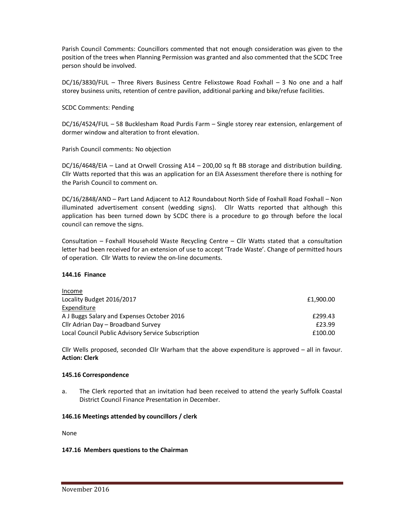Parish Council Comments: Councillors commented that not enough consideration was given to the position of the trees when Planning Permission was granted and also commented that the SCDC Tree person should be involved.

DC/16/3830/FUL – Three Rivers Business Centre Felixstowe Road Foxhall – 3 No one and a half storey business units, retention of centre pavilion, additional parking and bike/refuse facilities.

SCDC Comments: Pending

DC/16/4524/FUL – 58 Bucklesham Road Purdis Farm – Single storey rear extension, enlargement of dormer window and alteration to front elevation.

Parish Council comments: No objection

DC/16/4648/EIA – Land at Orwell Crossing A14 – 200,00 sq ft BB storage and distribution building. Cllr Watts reported that this was an application for an EIA Assessment therefore there is nothing for the Parish Council to comment on.

DC/16/2848/AND - Part Land Adjacent to A12 Roundabout North Side of Foxhall Road Foxhall - Non illuminated advertisement consent (wedding signs). Cllr Watts reported that although this application has been turned down by SCDC there is a procedure to go through before the local council can remove the signs.

Consultation – Foxhall Household Waste Recycling Centre – Cllr Watts stated that a consultation letter had been received for an extension of use to accept 'Trade Waste'. Change of permitted hours of operation. Cllr Watts to review the on-line documents.

## **144.16 Finance**

| Income                                             |           |
|----------------------------------------------------|-----------|
| Locality Budget 2016/2017                          | £1,900.00 |
| Expenditure                                        |           |
| A J Buggs Salary and Expenses October 2016         | £299.43   |
| Cllr Adrian Day - Broadband Survey                 | £23.99    |
| Local Council Public Advisory Service Subscription | £100.00   |

Cllr Wells proposed, seconded Cllr Warham that the above expenditure is approved – all in favour. **Action: Clerk** 

### **145.16 Correspondence**

a. The Clerk reported that an invitation had been received to attend the yearly Suffolk Coastal District Council Finance Presentation in December.

### **146.16 Meetings attended by councillors / clerk**

None

### **147.16 Members questions to the Chairman**